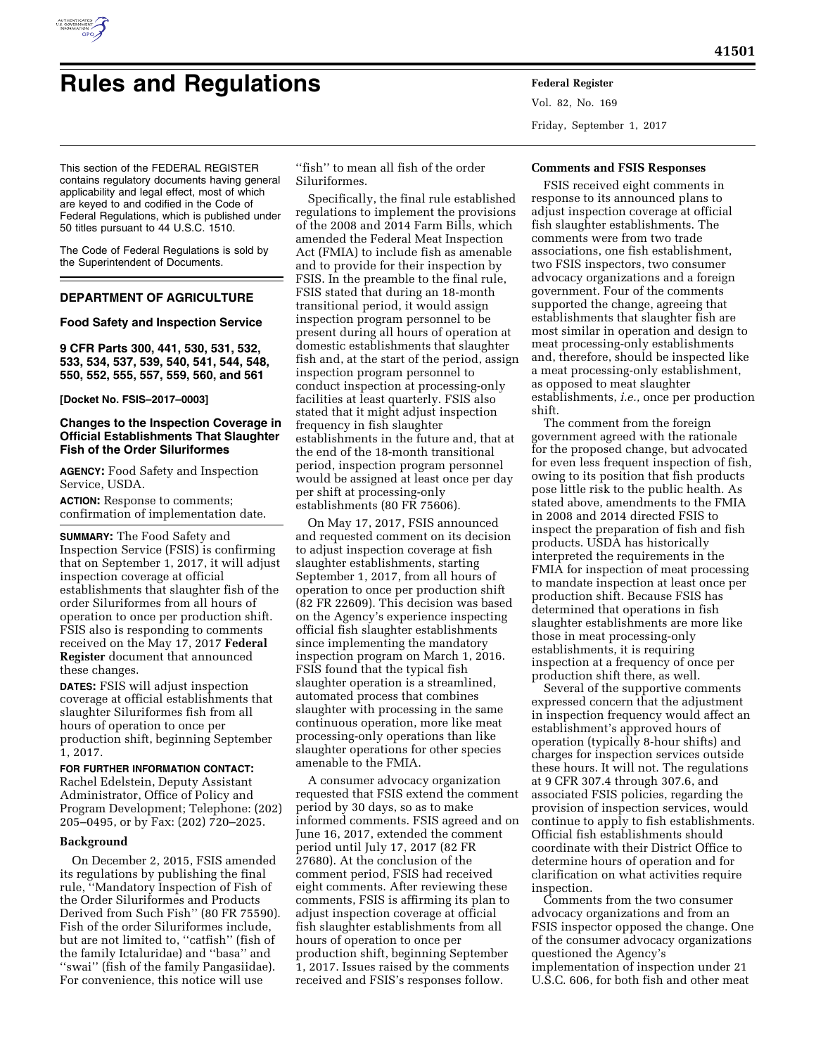

# **Rules and Regulations Federal Register**

Vol. 82, No. 169 Friday, September 1, 2017

This section of the FEDERAL REGISTER contains regulatory documents having general applicability and legal effect, most of which are keyed to and codified in the Code of Federal Regulations, which is published under 50 titles pursuant to 44 U.S.C. 1510.

The Code of Federal Regulations is sold by the Superintendent of Documents.

# **DEPARTMENT OF AGRICULTURE**

## **Food Safety and Inspection Service**

**9 CFR Parts 300, 441, 530, 531, 532, 533, 534, 537, 539, 540, 541, 544, 548, 550, 552, 555, 557, 559, 560, and 561** 

**[Docket No. FSIS–2017–0003]** 

# **Changes to the Inspection Coverage in Official Establishments That Slaughter Fish of the Order Siluriformes**

**AGENCY:** Food Safety and Inspection Service, USDA.

**ACTION:** Response to comments; confirmation of implementation date.

**SUMMARY:** The Food Safety and Inspection Service (FSIS) is confirming that on September 1, 2017, it will adjust inspection coverage at official establishments that slaughter fish of the order Siluriformes from all hours of operation to once per production shift. FSIS also is responding to comments received on the May 17, 2017 **Federal Register** document that announced these changes.

**DATES:** FSIS will adjust inspection coverage at official establishments that slaughter Siluriformes fish from all hours of operation to once per production shift, beginning September 1, 2017.

**FOR FURTHER INFORMATION CONTACT:**  Rachel Edelstein, Deputy Assistant Administrator, Office of Policy and Program Development; Telephone: (202) 205–0495, or by Fax: (202) 720–2025.

## **Background**

On December 2, 2015, FSIS amended its regulations by publishing the final rule, ''Mandatory Inspection of Fish of the Order Siluriformes and Products Derived from Such Fish'' (80 FR 75590). Fish of the order Siluriformes include, but are not limited to, ''catfish'' (fish of the family Ictaluridae) and ''basa'' and ''swai'' (fish of the family Pangasiidae). For convenience, this notice will use

''fish'' to mean all fish of the order Siluriformes.

Specifically, the final rule established regulations to implement the provisions of the 2008 and 2014 Farm Bills, which amended the Federal Meat Inspection Act (FMIA) to include fish as amenable and to provide for their inspection by FSIS. In the preamble to the final rule, FSIS stated that during an 18-month transitional period, it would assign inspection program personnel to be present during all hours of operation at domestic establishments that slaughter fish and, at the start of the period, assign inspection program personnel to conduct inspection at processing-only facilities at least quarterly. FSIS also stated that it might adjust inspection frequency in fish slaughter establishments in the future and, that at the end of the 18-month transitional period, inspection program personnel would be assigned at least once per day per shift at processing-only establishments (80 FR 75606).

On May 17, 2017, FSIS announced and requested comment on its decision to adjust inspection coverage at fish slaughter establishments, starting September 1, 2017, from all hours of operation to once per production shift (82 FR 22609). This decision was based on the Agency's experience inspecting official fish slaughter establishments since implementing the mandatory inspection program on March 1, 2016. FSIS found that the typical fish slaughter operation is a streamlined, automated process that combines slaughter with processing in the same continuous operation, more like meat processing-only operations than like slaughter operations for other species amenable to the FMIA.

A consumer advocacy organization requested that FSIS extend the comment period by 30 days, so as to make informed comments. FSIS agreed and on June 16, 2017, extended the comment period until July 17, 2017 (82 FR 27680). At the conclusion of the comment period, FSIS had received eight comments. After reviewing these comments, FSIS is affirming its plan to adjust inspection coverage at official fish slaughter establishments from all hours of operation to once per production shift, beginning September 1, 2017. Issues raised by the comments received and FSIS's responses follow.

## **Comments and FSIS Responses**

FSIS received eight comments in response to its announced plans to adjust inspection coverage at official fish slaughter establishments. The comments were from two trade associations, one fish establishment, two FSIS inspectors, two consumer advocacy organizations and a foreign government. Four of the comments supported the change, agreeing that establishments that slaughter fish are most similar in operation and design to meat processing-only establishments and, therefore, should be inspected like a meat processing-only establishment, as opposed to meat slaughter establishments, *i.e.,* once per production shift.

The comment from the foreign government agreed with the rationale for the proposed change, but advocated for even less frequent inspection of fish, owing to its position that fish products pose little risk to the public health. As stated above, amendments to the FMIA in 2008 and 2014 directed FSIS to inspect the preparation of fish and fish products. USDA has historically interpreted the requirements in the FMIA for inspection of meat processing to mandate inspection at least once per production shift. Because FSIS has determined that operations in fish slaughter establishments are more like those in meat processing-only establishments, it is requiring inspection at a frequency of once per production shift there, as well.

Several of the supportive comments expressed concern that the adjustment in inspection frequency would affect an establishment's approved hours of operation (typically 8-hour shifts) and charges for inspection services outside these hours. It will not. The regulations at 9 CFR 307.4 through 307.6, and associated FSIS policies, regarding the provision of inspection services, would continue to apply to fish establishments. Official fish establishments should coordinate with their District Office to determine hours of operation and for clarification on what activities require inspection.

Comments from the two consumer advocacy organizations and from an FSIS inspector opposed the change. One of the consumer advocacy organizations questioned the Agency's implementation of inspection under 21 U.S.C. 606, for both fish and other meat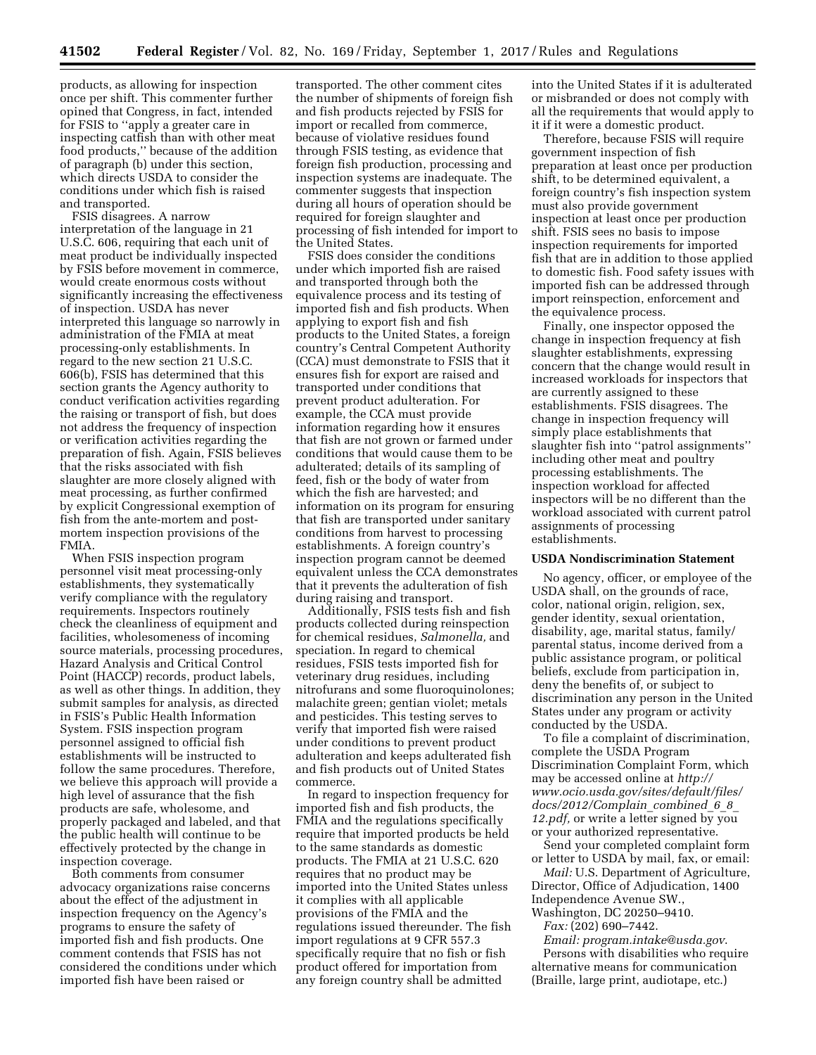products, as allowing for inspection once per shift. This commenter further opined that Congress, in fact, intended for FSIS to ''apply a greater care in inspecting catfish than with other meat food products,'' because of the addition of paragraph (b) under this section, which directs USDA to consider the conditions under which fish is raised and transported.

FSIS disagrees. A narrow interpretation of the language in 21 U.S.C. 606, requiring that each unit of meat product be individually inspected by FSIS before movement in commerce, would create enormous costs without significantly increasing the effectiveness of inspection. USDA has never interpreted this language so narrowly in administration of the FMIA at meat processing-only establishments. In regard to the new section 21 U.S.C. 606(b), FSIS has determined that this section grants the Agency authority to conduct verification activities regarding the raising or transport of fish, but does not address the frequency of inspection or verification activities regarding the preparation of fish. Again, FSIS believes that the risks associated with fish slaughter are more closely aligned with meat processing, as further confirmed by explicit Congressional exemption of fish from the ante-mortem and postmortem inspection provisions of the FMIA.

When FSIS inspection program personnel visit meat processing-only establishments, they systematically verify compliance with the regulatory requirements. Inspectors routinely check the cleanliness of equipment and facilities, wholesomeness of incoming source materials, processing procedures, Hazard Analysis and Critical Control Point (HACCP) records, product labels, as well as other things. In addition, they submit samples for analysis, as directed in FSIS's Public Health Information System. FSIS inspection program personnel assigned to official fish establishments will be instructed to follow the same procedures. Therefore, we believe this approach will provide a high level of assurance that the fish products are safe, wholesome, and properly packaged and labeled, and that the public health will continue to be effectively protected by the change in inspection coverage.

Both comments from consumer advocacy organizations raise concerns about the effect of the adjustment in inspection frequency on the Agency's programs to ensure the safety of imported fish and fish products. One comment contends that FSIS has not considered the conditions under which imported fish have been raised or

transported. The other comment cites the number of shipments of foreign fish and fish products rejected by FSIS for import or recalled from commerce, because of violative residues found through FSIS testing, as evidence that foreign fish production, processing and inspection systems are inadequate. The commenter suggests that inspection during all hours of operation should be required for foreign slaughter and processing of fish intended for import to the United States.

FSIS does consider the conditions under which imported fish are raised and transported through both the equivalence process and its testing of imported fish and fish products. When applying to export fish and fish products to the United States, a foreign country's Central Competent Authority (CCA) must demonstrate to FSIS that it ensures fish for export are raised and transported under conditions that prevent product adulteration. For example, the CCA must provide information regarding how it ensures that fish are not grown or farmed under conditions that would cause them to be adulterated; details of its sampling of feed, fish or the body of water from which the fish are harvested; and information on its program for ensuring that fish are transported under sanitary conditions from harvest to processing establishments. A foreign country's inspection program cannot be deemed equivalent unless the CCA demonstrates that it prevents the adulteration of fish during raising and transport.

Additionally, FSIS tests fish and fish products collected during reinspection for chemical residues, *Salmonella,* and speciation. In regard to chemical residues, FSIS tests imported fish for veterinary drug residues, including nitrofurans and some fluoroquinolones; malachite green; gentian violet; metals and pesticides. This testing serves to verify that imported fish were raised under conditions to prevent product adulteration and keeps adulterated fish and fish products out of United States commerce.

In regard to inspection frequency for imported fish and fish products, the FMIA and the regulations specifically require that imported products be held to the same standards as domestic products. The FMIA at 21 U.S.C. 620 requires that no product may be imported into the United States unless it complies with all applicable provisions of the FMIA and the regulations issued thereunder. The fish import regulations at 9 CFR 557.3 specifically require that no fish or fish product offered for importation from any foreign country shall be admitted

into the United States if it is adulterated or misbranded or does not comply with all the requirements that would apply to it if it were a domestic product.

Therefore, because FSIS will require government inspection of fish preparation at least once per production shift, to be determined equivalent, a foreign country's fish inspection system must also provide government inspection at least once per production shift. FSIS sees no basis to impose inspection requirements for imported fish that are in addition to those applied to domestic fish. Food safety issues with imported fish can be addressed through import reinspection, enforcement and the equivalence process.

Finally, one inspector opposed the change in inspection frequency at fish slaughter establishments, expressing concern that the change would result in increased workloads for inspectors that are currently assigned to these establishments. FSIS disagrees. The change in inspection frequency will simply place establishments that slaughter fish into ''patrol assignments'' including other meat and poultry processing establishments. The inspection workload for affected inspectors will be no different than the workload associated with current patrol assignments of processing establishments.

#### **USDA Nondiscrimination Statement**

No agency, officer, or employee of the USDA shall, on the grounds of race, color, national origin, religion, sex, gender identity, sexual orientation, disability, age, marital status, family/ parental status, income derived from a public assistance program, or political beliefs, exclude from participation in, deny the benefits of, or subject to discrimination any person in the United States under any program or activity conducted by the USDA.

To file a complaint of discrimination, complete the USDA Program Discrimination Complaint Form, which may be accessed online at *[http://](http://www.ocio.usda.gov/sites/default/files/docs/2012/Complain_combined_6_8_12.pdf) [www.ocio.usda.gov/sites/default/files/](http://www.ocio.usda.gov/sites/default/files/docs/2012/Complain_combined_6_8_12.pdf) [docs/2012/Complain](http://www.ocio.usda.gov/sites/default/files/docs/2012/Complain_combined_6_8_12.pdf)*\_*combined*\_*6*\_*8*\_ *[12.pdf,](http://www.ocio.usda.gov/sites/default/files/docs/2012/Complain_combined_6_8_12.pdf)* or write a letter signed by you or your authorized representative.

Send your completed complaint form or letter to USDA by mail, fax, or email:

*Mail:* U.S. Department of Agriculture, Director, Office of Adjudication, 1400 Independence Avenue SW., Washington, DC 20250–9410.

*Fax:* (202) 690–7442.

*Email: [program.intake@usda.gov](mailto:program.intake@usda.gov)*. Persons with disabilities who require alternative means for communication (Braille, large print, audiotape, etc.)